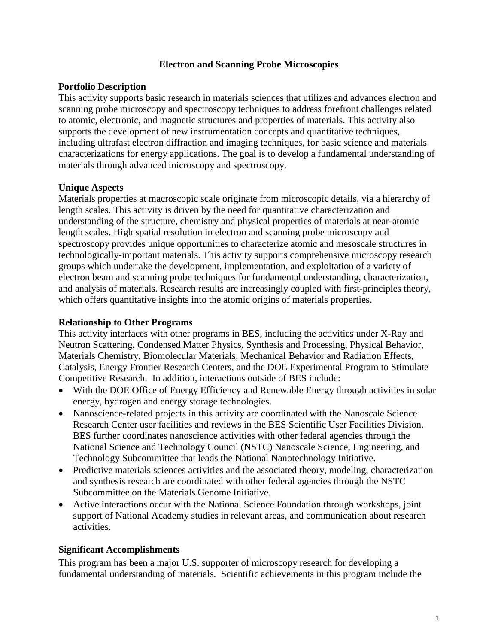## **Electron and Scanning Probe Microscopies**

## **Portfolio Description**

This activity supports basic research in materials sciences that utilizes and advances electron and scanning probe microscopy and spectroscopy techniques to address forefront challenges related to atomic, electronic, and magnetic structures and properties of materials. This activity also supports the development of new instrumentation concepts and quantitative techniques, including ultrafast electron diffraction and imaging techniques, for basic science and materials characterizations for energy applications. The goal is to develop a fundamental understanding of materials through advanced microscopy and spectroscopy.

## **Unique Aspects**

Materials properties at macroscopic scale originate from microscopic details, via a hierarchy of length scales. This activity is driven by the need for quantitative characterization and understanding of the structure, chemistry and physical properties of materials at near-atomic length scales. High spatial resolution in electron and scanning probe microscopy and spectroscopy provides unique opportunities to characterize atomic and mesoscale structures in technologically-important materials. This activity supports comprehensive microscopy research groups which undertake the development, implementation, and exploitation of a variety of electron beam and scanning probe techniques for fundamental understanding, characterization, and analysis of materials. Research results are increasingly coupled with first-principles theory, which offers quantitative insights into the atomic origins of materials properties.

#### **Relationship to Other Programs**

This activity interfaces with other programs in BES, including the activities under X-Ray and Neutron Scattering, Condensed Matter Physics, Synthesis and Processing, Physical Behavior, Materials Chemistry, Biomolecular Materials, Mechanical Behavior and Radiation Effects, Catalysis, Energy Frontier Research Centers, and the DOE Experimental Program to Stimulate Competitive Research. In addition, interactions outside of BES include:

- With the DOE Office of Energy Efficiency and Renewable Energy through activities in solar energy, hydrogen and energy storage technologies.
- Nanoscience-related projects in this activity are coordinated with the Nanoscale Science Research Center user facilities and reviews in the BES Scientific User Facilities Division. BES further coordinates nanoscience activities with other federal agencies through the National Science and Technology Council (NSTC) Nanoscale Science, Engineering, and Technology Subcommittee that leads the National Nanotechnology Initiative.
- Predictive materials sciences activities and the associated theory, modeling, characterization and synthesis research are coordinated with other federal agencies through the NSTC Subcommittee on the Materials Genome Initiative.
- Active interactions occur with the National Science Foundation through workshops, joint support of National Academy studies in relevant areas, and communication about research activities.

#### **Significant Accomplishments**

This program has been a major U.S. supporter of microscopy research for developing a fundamental understanding of materials. Scientific achievements in this program include the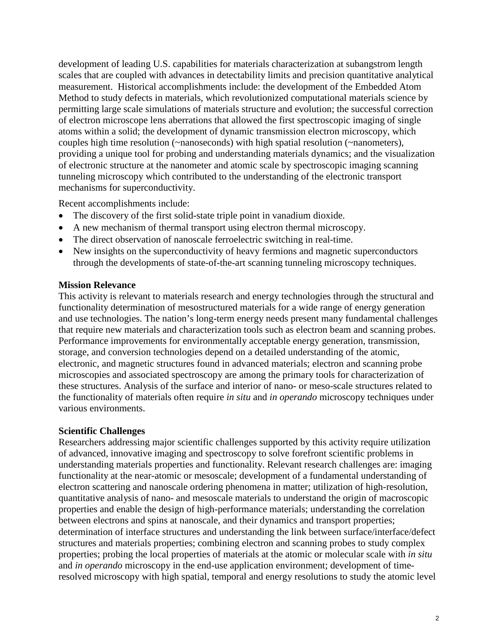development of leading U.S. capabilities for materials characterization at subangstrom length scales that are coupled with advances in detectability limits and precision quantitative analytical measurement. Historical accomplishments include: the development of the Embedded Atom Method to study defects in materials, which revolutionized computational materials science by permitting large scale simulations of materials structure and evolution; the successful correction of electron microscope lens aberrations that allowed the first spectroscopic imaging of single atoms within a solid; the development of dynamic transmission electron microscopy, which couples high time resolution (~nanoseconds) with high spatial resolution (~nanometers), providing a unique tool for probing and understanding materials dynamics; and the visualization of electronic structure at the nanometer and atomic scale by spectroscopic imaging scanning tunneling microscopy which contributed to the understanding of the electronic transport mechanisms for superconductivity.

Recent accomplishments include:

- The discovery of the first solid-state triple point in vanadium dioxide.
- A new mechanism of thermal transport using electron thermal microscopy.
- The direct observation of nanoscale ferroelectric switching in real-time.
- New insights on the superconductivity of heavy fermions and magnetic superconductors through the developments of state-of-the-art scanning tunneling microscopy techniques.

#### **Mission Relevance**

This activity is relevant to materials research and energy technologies through the structural and functionality determination of mesostructured materials for a wide range of energy generation and use technologies. The nation's long-term energy needs present many fundamental challenges that require new materials and characterization tools such as electron beam and scanning probes. Performance improvements for environmentally acceptable energy generation, transmission, storage, and conversion technologies depend on a detailed understanding of the atomic, electronic, and magnetic structures found in advanced materials; electron and scanning probe microscopies and associated spectroscopy are among the primary tools for characterization of these structures. Analysis of the surface and interior of nano- or meso-scale structures related to the functionality of materials often require *in situ* and *in operando* microscopy techniques under various environments.

# **Scientific Challenges**

Researchers addressing major scientific challenges supported by this activity require utilization of advanced, innovative imaging and spectroscopy to solve forefront scientific problems in understanding materials properties and functionality. Relevant research challenges are: imaging functionality at the near-atomic or mesoscale; development of a fundamental understanding of electron scattering and nanoscale ordering phenomena in matter; utilization of high-resolution, quantitative analysis of nano- and mesoscale materials to understand the origin of macroscopic properties and enable the design of high-performance materials; understanding the correlation between electrons and spins at nanoscale, and their dynamics and transport properties; determination of interface structures and understanding the link between surface/interface/defect structures and materials properties; combining electron and scanning probes to study complex properties; probing the local properties of materials at the atomic or molecular scale with *in situ* and *in operando* microscopy in the end-use application environment; development of timeresolved microscopy with high spatial, temporal and energy resolutions to study the atomic level